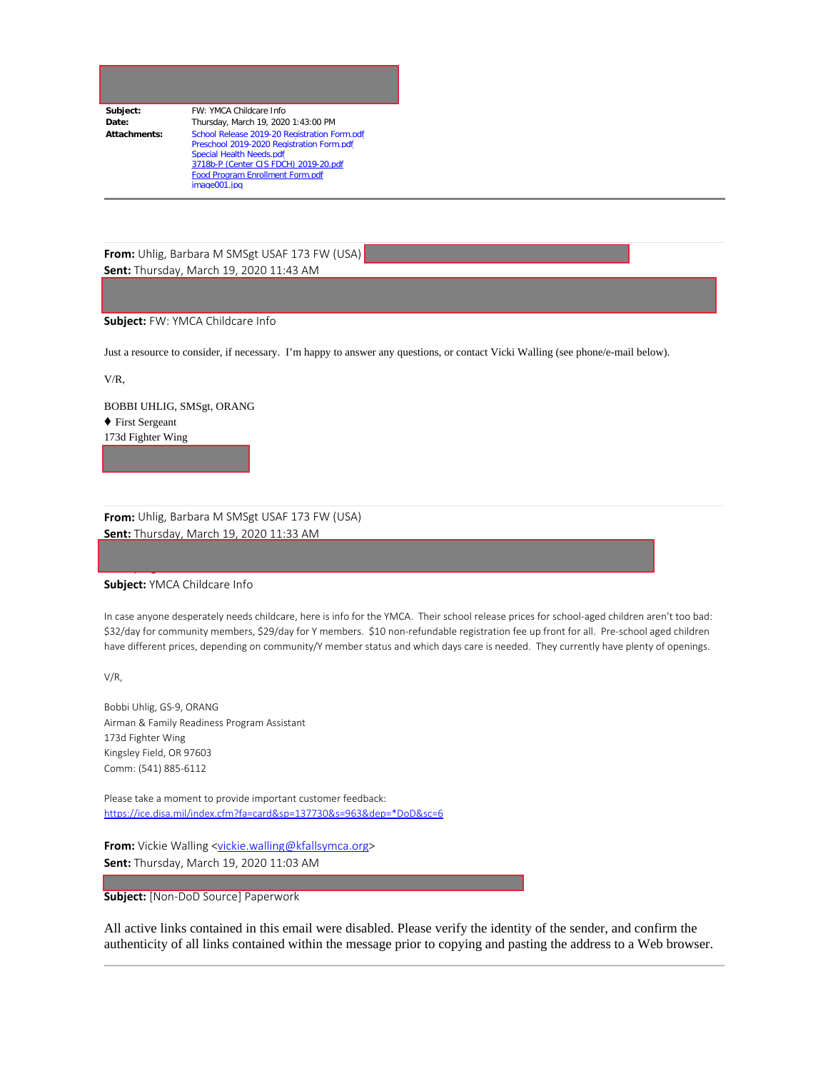| Subject:     | FW: YMCA Childcare Info                      |
|--------------|----------------------------------------------|
| Date:        | Thursday, March 19, 2020 1:43:00 PM          |
| Attachments: | School Release 2019-20 Registration Form.pdf |
|              | Preschool 2019-2020 Registration Form.pdf    |
|              | Special Health Needs.pdf                     |
|              | 3718b-P (Center CIS FDCH) 2019-20.pdf        |
|              | Food Program Enrollment Form.pdf             |
|              | image001.ipg                                 |

**From:** Uhlig, Barbara M SMSgt USAF 173 FW (USA) **Sent:** Thursday, March 19, 2020 11:43 AM

## **Subject:** FW: YMCA Childcare Info

Just a resource to consider, if necessary. I'm happy to answer any questions, or contact Vicki Walling (see phone/e-mail below).

V/R,

BOBBI UHLIG, SMSgt, ORANG ♦ First Sergeant 173d Fighter Wing

**From:** Uhlig, Barbara M SMSgt USAF 173 FW (USA) **Sent:** Thursday, March 19, 2020 11:33 AM

## **Subject:** YMCA Childcare Info

<cecily.a.gaudinski.civ@mail.mil>

In case anyone desperately needs childcare, here is info for the YMCA. Their school release prices for school-aged children aren't too bad: \$32/day for community members, \$29/day for Y members. \$10 non-refundable registration fee up front for all. Pre-school aged children have different prices, depending on community/Y member status and which days care is needed. They currently have plenty of openings.

V/R,

Bobbi Uhlig, GS-9, ORANG Airman & Family Readiness Program Assistant 173d Fighter Wing Kingsley Field, OR 97603 Comm: (541) 885-6112

Please take a moment to provide important customer feedback: [https://ice.disa.mil/index.cfm?fa=card&sp=137730&s=963&dep=\\*DoD&sc=6](https://ice.disa.mil/index.cfm?fa=card&sp=137730&s=963&dep=*DoD&sc=6)

**From:** Vickie Walling [<vickie.walling@kfallsymca.org>](mailto:vickie.walling@kfallsymca.org) **Sent:** Thursday, March 19, 2020 11:03 AM

**Subject:** [Non-DoD Source] Paperwork

All active links contained in this email were disabled. Please verify the identity of the sender, and confirm the authenticity of all links contained within the message prior to copying and pasting the address to a Web browser.